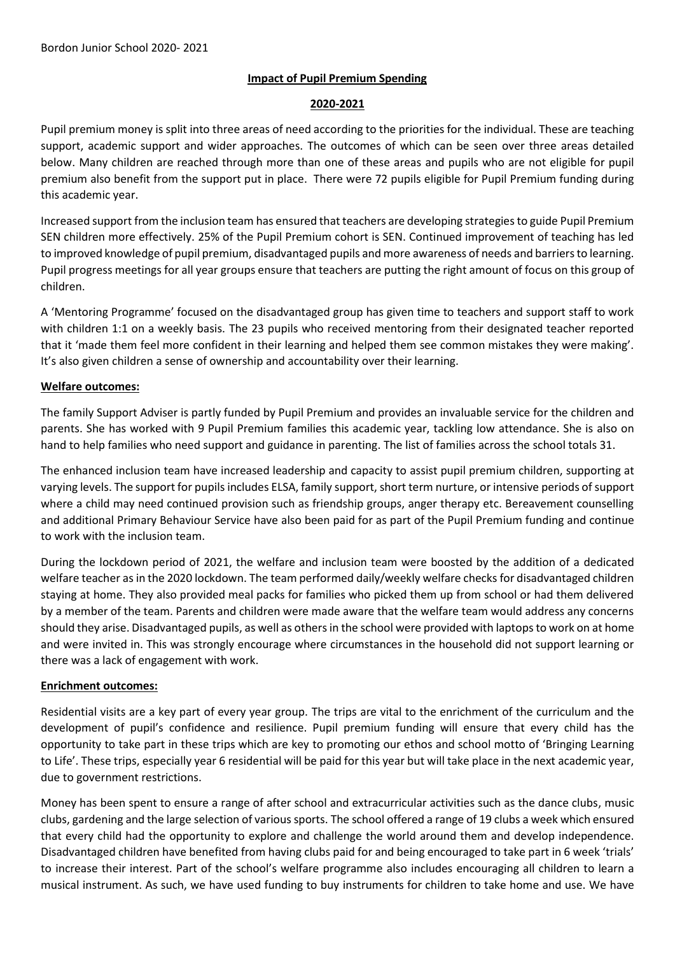## **Impact of Pupil Premium Spending**

#### **2020-2021**

Pupil premium money is split into three areas of need according to the priorities for the individual. These are teaching support, academic support and wider approaches. The outcomes of which can be seen over three areas detailed below. Many children are reached through more than one of these areas and pupils who are not eligible for pupil premium also benefit from the support put in place. There were 72 pupils eligible for Pupil Premium funding during this academic year.

Increased support from the inclusion team has ensured that teachers are developing strategies to guide Pupil Premium SEN children more effectively. 25% of the Pupil Premium cohort is SEN. Continued improvement of teaching has led to improved knowledge of pupil premium, disadvantaged pupils and more awareness of needs and barriers to learning. Pupil progress meetings for all year groups ensure that teachers are putting the right amount of focus on this group of children.

A 'Mentoring Programme' focused on the disadvantaged group has given time to teachers and support staff to work with children 1:1 on a weekly basis. The 23 pupils who received mentoring from their designated teacher reported that it 'made them feel more confident in their learning and helped them see common mistakes they were making'. It's also given children a sense of ownership and accountability over their learning.

## **Welfare outcomes:**

The family Support Adviser is partly funded by Pupil Premium and provides an invaluable service for the children and parents. She has worked with 9 Pupil Premium families this academic year, tackling low attendance. She is also on hand to help families who need support and guidance in parenting. The list of families across the school totals 31.

The enhanced inclusion team have increased leadership and capacity to assist pupil premium children, supporting at varying levels. The support for pupils includes ELSA, family support, short term nurture, or intensive periods of support where a child may need continued provision such as friendship groups, anger therapy etc. Bereavement counselling and additional Primary Behaviour Service have also been paid for as part of the Pupil Premium funding and continue to work with the inclusion team.

During the lockdown period of 2021, the welfare and inclusion team were boosted by the addition of a dedicated welfare teacher as in the 2020 lockdown. The team performed daily/weekly welfare checks for disadvantaged children staying at home. They also provided meal packs for families who picked them up from school or had them delivered by a member of the team. Parents and children were made aware that the welfare team would address any concerns should they arise. Disadvantaged pupils, as well as others in the school were provided with laptops to work on at home and were invited in. This was strongly encourage where circumstances in the household did not support learning or there was a lack of engagement with work.

### **Enrichment outcomes:**

Residential visits are a key part of every year group. The trips are vital to the enrichment of the curriculum and the development of pupil's confidence and resilience. Pupil premium funding will ensure that every child has the opportunity to take part in these trips which are key to promoting our ethos and school motto of 'Bringing Learning to Life'. These trips, especially year 6 residential will be paid for this year but will take place in the next academic year, due to government restrictions.

Money has been spent to ensure a range of after school and extracurricular activities such as the dance clubs, music clubs, gardening and the large selection of various sports. The school offered a range of 19 clubs a week which ensured that every child had the opportunity to explore and challenge the world around them and develop independence. Disadvantaged children have benefited from having clubs paid for and being encouraged to take part in 6 week 'trials' to increase their interest. Part of the school's welfare programme also includes encouraging all children to learn a musical instrument. As such, we have used funding to buy instruments for children to take home and use. We have